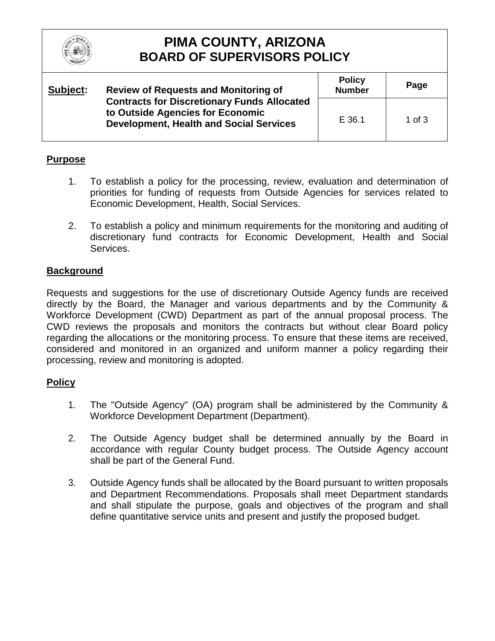

# **PIMA COUNTY, ARIZONA BOARD OF SUPERVISORS POLICY**

| Subject: | <b>Review of Requests and Monitoring of</b>                                                                                              | <b>Policy</b><br><b>Number</b> | Page     |
|----------|------------------------------------------------------------------------------------------------------------------------------------------|--------------------------------|----------|
|          | <b>Contracts for Discretionary Funds Allocated</b><br>to Outside Agencies for Economic<br><b>Development, Health and Social Services</b> | E 36.1                         | 1 of $3$ |

### **Purpose**

- 1. To establish a policy for the processing, review, evaluation and determination of priorities for funding of requests from Outside Agencies for services related to Economic Development, Health, Social Services.
- 2. To establish a policy and minimum requirements for the monitoring and auditing of discretionary fund contracts for Economic Development, Health and Social Services.

### **Background**

Requests and suggestions for the use of discretionary Outside Agency funds are received directly by the Board, the Manager and various departments and by the Community & Workforce Development (CWD) Department as part of the annual proposal process. The CWD reviews the proposals and monitors the contracts but without clear Board policy regarding the allocations or the monitoring process. To ensure that these items are received, considered and monitored in an organized and uniform manner a policy regarding their processing, review and monitoring is adopted.

#### **Policy**

- 1. The "Outside Agency" (OA) program shall be administered by the Community & Workforce Development Department (Department).
- 2. The Outside Agency budget shall be determined annually by the Board in accordance with regular County budget process. The Outside Agency account shall be part of the General Fund.
- 3. Outside Agency funds shall be allocated by the Board pursuant to written proposals and Department Recommendations. Proposals shall meet Department standards and shall stipulate the purpose, goals and objectives of the program and shall define quantitative service units and present and justify the proposed budget.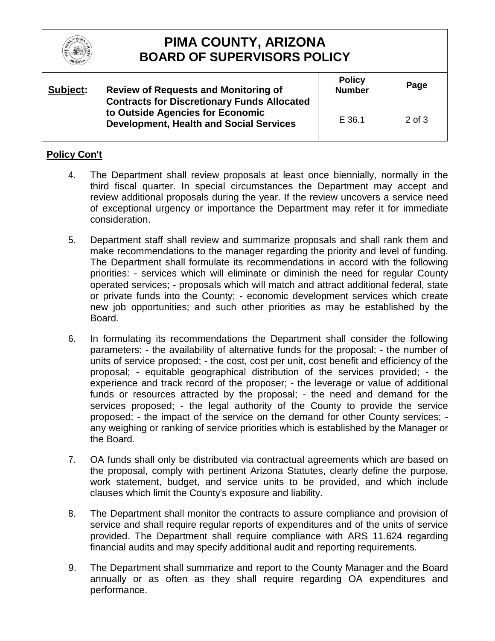

# **PIMA COUNTY, ARIZONA BOARD OF SUPERVISORS POLICY**

| Subject: | <b>Review of Requests and Monitoring of</b><br><b>Contracts for Discretionary Funds Allocated</b><br>to Outside Agencies for Economic<br><b>Development, Health and Social Services</b> | <b>Policy</b><br><b>Number</b> | Page       |
|----------|-----------------------------------------------------------------------------------------------------------------------------------------------------------------------------------------|--------------------------------|------------|
|          |                                                                                                                                                                                         | E 36.1                         | $2$ of $3$ |

## **Policy Con't**

- 4. The Department shall review proposals at least once biennially, normally in the third fiscal quarter. In special circumstances the Department may accept and review additional proposals during the year. If the review uncovers a service need of exceptional urgency or importance the Department may refer it for immediate consideration.
- 5. Department staff shall review and summarize proposals and shall rank them and make recommendations to the manager regarding the priority and level of funding. The Department shall formulate its recommendations in accord with the following priorities: - services which will eliminate or diminish the need for regular County operated services; - proposals which will match and attract additional federal, state or private funds into the County; - economic development services which create new job opportunities; and such other priorities as may be established by the Board.
- 6. In formulating its recommendations the Department shall consider the following parameters: - the availability of alternative funds for the proposal; - the number of units of service proposed; - the cost, cost per unit, cost benefit and efficiency of the proposal; - equitable geographical distribution of the services provided; - the experience and track record of the proposer; - the leverage or value of additional funds or resources attracted by the proposal; - the need and demand for the services proposed; - the legal authority of the County to provide the service proposed; - the impact of the service on the demand for other County services; any weighing or ranking of service priorities which is established by the Manager or the Board.
- 7. OA funds shall only be distributed via contractual agreements which are based on the proposal, comply with pertinent Arizona Statutes, clearly define the purpose, work statement, budget, and service units to be provided, and which include clauses which limit the County's exposure and liability.
- 8. The Department shall monitor the contracts to assure compliance and provision of service and shall require regular reports of expenditures and of the units of service provided. The Department shall require compliance with ARS 11.624 regarding financial audits and may specify additional audit and reporting requirements.
- 9. The Department shall summarize and report to the County Manager and the Board annually or as often as they shall require regarding OA expenditures and performance.